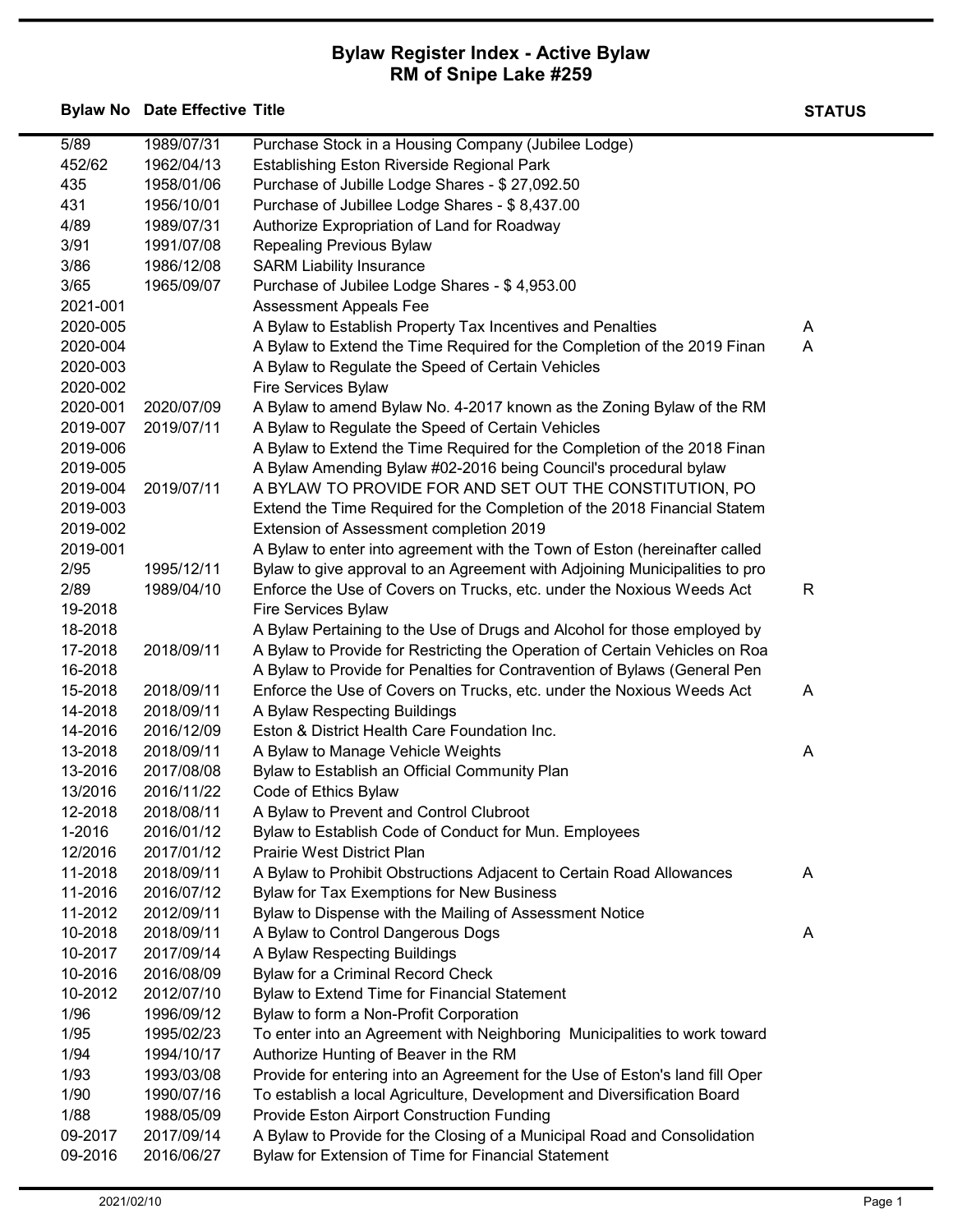## Bylaw Register Index - Active Bylaw RM of Snipe Lake #259

Bylaw No Date Effective Title State State State State State State State State State State State State State State State State State State State State State State State State State State State State State State State State

| 5/89     | 1989/07/31 | Purchase Stock in a Housing Company (Jubilee Lodge)                                                                      |   |
|----------|------------|--------------------------------------------------------------------------------------------------------------------------|---|
| 452/62   | 1962/04/13 | Establishing Eston Riverside Regional Park                                                                               |   |
| 435      | 1958/01/06 | Purchase of Jubille Lodge Shares - \$27,092.50                                                                           |   |
| 431      | 1956/10/01 |                                                                                                                          |   |
|          |            | Purchase of Jubillee Lodge Shares - \$8,437.00                                                                           |   |
| 4/89     | 1989/07/31 | Authorize Expropriation of Land for Roadway                                                                              |   |
| 3/91     | 1991/07/08 | Repealing Previous Bylaw                                                                                                 |   |
| 3/86     | 1986/12/08 | <b>SARM Liability Insurance</b>                                                                                          |   |
| 3/65     | 1965/09/07 | Purchase of Jubilee Lodge Shares - \$4,953.00                                                                            |   |
| 2021-001 |            | <b>Assessment Appeals Fee</b>                                                                                            |   |
| 2020-005 |            | A Bylaw to Establish Property Tax Incentives and Penalties                                                               | A |
| 2020-004 |            | A Bylaw to Extend the Time Required for the Completion of the 2019 Finan                                                 | A |
| 2020-003 |            | A Bylaw to Regulate the Speed of Certain Vehicles                                                                        |   |
| 2020-002 |            | Fire Services Bylaw                                                                                                      |   |
| 2020-001 | 2020/07/09 | A Bylaw to amend Bylaw No. 4-2017 known as the Zoning Bylaw of the RM                                                    |   |
| 2019-007 | 2019/07/11 | A Bylaw to Regulate the Speed of Certain Vehicles                                                                        |   |
| 2019-006 |            | A Bylaw to Extend the Time Required for the Completion of the 2018 Finan                                                 |   |
| 2019-005 |            | A Bylaw Amending Bylaw #02-2016 being Council's procedural bylaw                                                         |   |
| 2019-004 | 2019/07/11 | A BYLAW TO PROVIDE FOR AND SET OUT THE CONSTITUTION, PO                                                                  |   |
| 2019-003 |            | Extend the Time Required for the Completion of the 2018 Financial Statem                                                 |   |
| 2019-002 |            | Extension of Assessment completion 2019                                                                                  |   |
| 2019-001 |            | A Bylaw to enter into agreement with the Town of Eston (hereinafter called                                               |   |
| 2/95     | 1995/12/11 | Bylaw to give approval to an Agreement with Adjoining Municipalities to pro                                              |   |
| 2/89     | 1989/04/10 | Enforce the Use of Covers on Trucks, etc. under the Noxious Weeds Act                                                    | R |
| 19-2018  |            | Fire Services Bylaw                                                                                                      |   |
| 18-2018  |            | A Bylaw Pertaining to the Use of Drugs and Alcohol for those employed by                                                 |   |
| 17-2018  | 2018/09/11 | A Bylaw to Provide for Restricting the Operation of Certain Vehicles on Roa                                              |   |
| 16-2018  |            | A Bylaw to Provide for Penalties for Contravention of Bylaws (General Pen                                                |   |
| 15-2018  | 2018/09/11 | Enforce the Use of Covers on Trucks, etc. under the Noxious Weeds Act                                                    | A |
| 14-2018  | 2018/09/11 | A Bylaw Respecting Buildings                                                                                             |   |
| 14-2016  | 2016/12/09 | Eston & District Health Care Foundation Inc.                                                                             |   |
| 13-2018  | 2018/09/11 | A Bylaw to Manage Vehicle Weights                                                                                        | A |
| 13-2016  | 2017/08/08 | Bylaw to Establish an Official Community Plan                                                                            |   |
| 13/2016  | 2016/11/22 | Code of Ethics Bylaw                                                                                                     |   |
| 12-2018  | 2018/08/11 | A Bylaw to Prevent and Control Clubroot                                                                                  |   |
| 1-2016   | 2016/01/12 | Bylaw to Establish Code of Conduct for Mun. Employees                                                                    |   |
| 12/2016  | 2017/01/12 | <b>Prairie West District Plan</b>                                                                                        |   |
| 11-2018  | 2018/09/11 |                                                                                                                          | A |
| 11-2016  | 2016/07/12 | A Bylaw to Prohibit Obstructions Adjacent to Certain Road Allowances<br><b>Bylaw for Tax Exemptions for New Business</b> |   |
| 11-2012  | 2012/09/11 |                                                                                                                          |   |
|          |            | Bylaw to Dispense with the Mailing of Assessment Notice                                                                  |   |
| 10-2018  | 2018/09/11 | A Bylaw to Control Dangerous Dogs                                                                                        | A |
| 10-2017  | 2017/09/14 | A Bylaw Respecting Buildings                                                                                             |   |
| 10-2016  | 2016/08/09 | Bylaw for a Criminal Record Check                                                                                        |   |
| 10-2012  | 2012/07/10 | Bylaw to Extend Time for Financial Statement                                                                             |   |
| 1/96     | 1996/09/12 | Bylaw to form a Non-Profit Corporation                                                                                   |   |
| 1/95     | 1995/02/23 | To enter into an Agreement with Neighboring Municipalities to work toward                                                |   |
| 1/94     | 1994/10/17 | Authorize Hunting of Beaver in the RM                                                                                    |   |
| 1/93     | 1993/03/08 | Provide for entering into an Agreement for the Use of Eston's land fill Oper                                             |   |
| 1/90     | 1990/07/16 | To establish a local Agriculture, Development and Diversification Board                                                  |   |
| 1/88     | 1988/05/09 | Provide Eston Airport Construction Funding                                                                               |   |
| 09-2017  | 2017/09/14 | A Bylaw to Provide for the Closing of a Municipal Road and Consolidation                                                 |   |
| 09-2016  | 2016/06/27 | Bylaw for Extension of Time for Financial Statement                                                                      |   |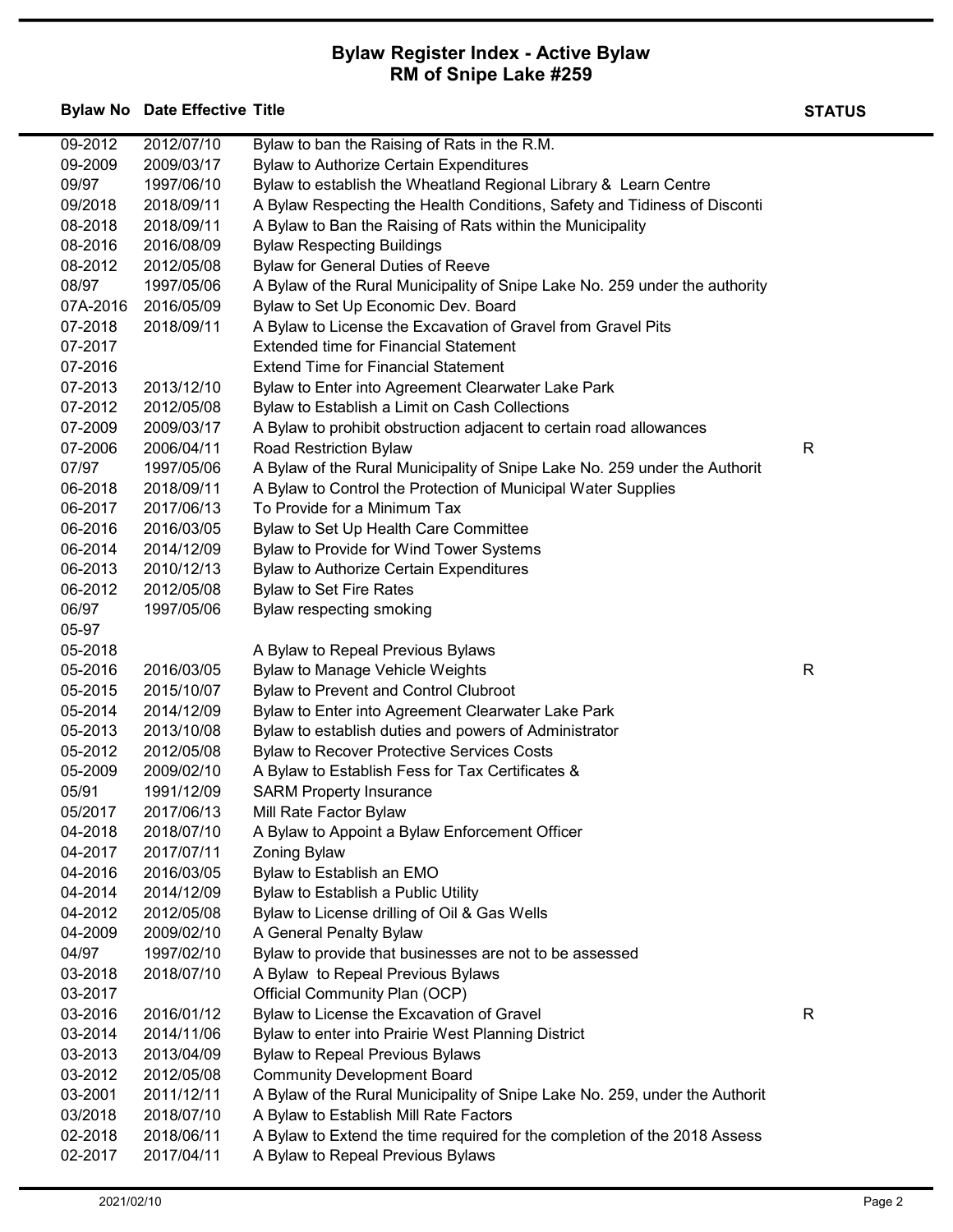## Bylaw Register Index - Active Bylaw RM of Snipe Lake #259

Bylaw No Date Effective Title State State State State State State State State State State State State State State State State State State State State State State State State State State State State State State State State

| 09-2012  | 2012/07/10 | Bylaw to ban the Raising of Rats in the R.M.                                |   |
|----------|------------|-----------------------------------------------------------------------------|---|
| 09-2009  | 2009/03/17 | <b>Bylaw to Authorize Certain Expenditures</b>                              |   |
| 09/97    | 1997/06/10 | Bylaw to establish the Wheatland Regional Library & Learn Centre            |   |
| 09/2018  | 2018/09/11 | A Bylaw Respecting the Health Conditions, Safety and Tidiness of Disconti   |   |
| 08-2018  | 2018/09/11 | A Bylaw to Ban the Raising of Rats within the Municipality                  |   |
| 08-2016  | 2016/08/09 | <b>Bylaw Respecting Buildings</b>                                           |   |
| 08-2012  | 2012/05/08 | <b>Bylaw for General Duties of Reeve</b>                                    |   |
| 08/97    | 1997/05/06 | A Bylaw of the Rural Municipality of Snipe Lake No. 259 under the authority |   |
| 07A-2016 | 2016/05/09 | Bylaw to Set Up Economic Dev. Board                                         |   |
| 07-2018  | 2018/09/11 | A Bylaw to License the Excavation of Gravel from Gravel Pits                |   |
| 07-2017  |            | <b>Extended time for Financial Statement</b>                                |   |
| 07-2016  |            | <b>Extend Time for Financial Statement</b>                                  |   |
| 07-2013  | 2013/12/10 | Bylaw to Enter into Agreement Clearwater Lake Park                          |   |
| 07-2012  | 2012/05/08 | Bylaw to Establish a Limit on Cash Collections                              |   |
| 07-2009  | 2009/03/17 | A Bylaw to prohibit obstruction adjacent to certain road allowances         |   |
|          |            |                                                                             | R |
| 07-2006  | 2006/04/11 | Road Restriction Bylaw                                                      |   |
| 07/97    | 1997/05/06 | A Bylaw of the Rural Municipality of Snipe Lake No. 259 under the Authorit  |   |
| 06-2018  | 2018/09/11 | A Bylaw to Control the Protection of Municipal Water Supplies               |   |
| 06-2017  | 2017/06/13 | To Provide for a Minimum Tax                                                |   |
| 06-2016  | 2016/03/05 | Bylaw to Set Up Health Care Committee                                       |   |
| 06-2014  | 2014/12/09 | Bylaw to Provide for Wind Tower Systems                                     |   |
| 06-2013  | 2010/12/13 | <b>Bylaw to Authorize Certain Expenditures</b>                              |   |
| 06-2012  | 2012/05/08 | <b>Bylaw to Set Fire Rates</b>                                              |   |
| 06/97    | 1997/05/06 | Bylaw respecting smoking                                                    |   |
| 05-97    |            |                                                                             |   |
| 05-2018  |            | A Bylaw to Repeal Previous Bylaws                                           |   |
| 05-2016  | 2016/03/05 | Bylaw to Manage Vehicle Weights                                             | R |
| 05-2015  | 2015/10/07 | <b>Bylaw to Prevent and Control Clubroot</b>                                |   |
| 05-2014  | 2014/12/09 | Bylaw to Enter into Agreement Clearwater Lake Park                          |   |
| 05-2013  | 2013/10/08 | Bylaw to establish duties and powers of Administrator                       |   |
| 05-2012  | 2012/05/08 | <b>Bylaw to Recover Protective Services Costs</b>                           |   |
| 05-2009  | 2009/02/10 | A Bylaw to Establish Fess for Tax Certificates &                            |   |
| 05/91    | 1991/12/09 | <b>SARM Property Insurance</b>                                              |   |
| 05/2017  | 2017/06/13 | Mill Rate Factor Bylaw                                                      |   |
| 04-2018  | 2018/07/10 | A Bylaw to Appoint a Bylaw Enforcement Officer                              |   |
| 04-2017  | 2017/07/11 | <b>Zoning Bylaw</b>                                                         |   |
| 04-2016  | 2016/03/05 | Bylaw to Establish an EMO                                                   |   |
| 04-2014  | 2014/12/09 | Bylaw to Establish a Public Utility                                         |   |
| 04-2012  | 2012/05/08 | Bylaw to License drilling of Oil & Gas Wells                                |   |
| 04-2009  | 2009/02/10 | A General Penalty Bylaw                                                     |   |
| 04/97    | 1997/02/10 | Bylaw to provide that businesses are not to be assessed                     |   |
| 03-2018  | 2018/07/10 | A Bylaw to Repeal Previous Bylaws                                           |   |
| 03-2017  |            | Official Community Plan (OCP)                                               |   |
| 03-2016  | 2016/01/12 | Bylaw to License the Excavation of Gravel                                   | R |
| 03-2014  | 2014/11/06 | Bylaw to enter into Prairie West Planning District                          |   |
| 03-2013  | 2013/04/09 | <b>Bylaw to Repeal Previous Bylaws</b>                                      |   |
| 03-2012  | 2012/05/08 | <b>Community Development Board</b>                                          |   |
| 03-2001  | 2011/12/11 | A Bylaw of the Rural Municipality of Snipe Lake No. 259, under the Authorit |   |
| 03/2018  | 2018/07/10 | A Bylaw to Establish Mill Rate Factors                                      |   |
| 02-2018  | 2018/06/11 | A Bylaw to Extend the time required for the completion of the 2018 Assess   |   |
| 02-2017  | 2017/04/11 | A Bylaw to Repeal Previous Bylaws                                           |   |
|          |            |                                                                             |   |